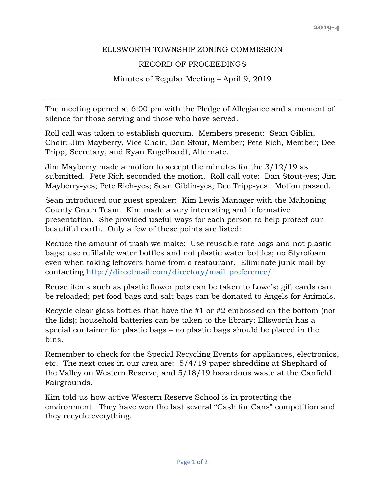## ELLSWORTH TOWNSHIP ZONING COMMISSION

## RECORD OF PROCEEDINGS

## Minutes of Regular Meeting – April 9, 2019

The meeting opened at 6:00 pm with the Pledge of Allegiance and a moment of silence for those serving and those who have served.

Roll call was taken to establish quorum. Members present: Sean Giblin, Chair; Jim Mayberry, Vice Chair, Dan Stout, Member; Pete Rich, Member; Dee Tripp, Secretary, and Ryan Engelhardt, Alternate.

Jim Mayberry made a motion to accept the minutes for the 3/12/19 as submitted. Pete Rich seconded the motion. Roll call vote: Dan Stout-yes; Jim Mayberry-yes; Pete Rich-yes; Sean Giblin-yes; Dee Tripp-yes. Motion passed.

Sean introduced our guest speaker: Kim Lewis Manager with the Mahoning County Green Team. Kim made a very interesting and informative presentation. She provided useful ways for each person to help protect our beautiful earth. Only a few of these points are listed:

Reduce the amount of trash we make: Use reusable tote bags and not plastic bags; use refillable water bottles and not plastic water bottles; no Styrofoam even when taking leftovers home from a restaurant. Eliminate junk mail by contacting [http://directmail.com/directory/mail\\_preference/](http://directmail.com/directory/mail_preference/) 

Reuse items such as plastic flower pots can be taken to Lowe's; gift cards can be reloaded; pet food bags and salt bags can be donated to Angels for Animals.

Recycle clear glass bottles that have the #1 or #2 embossed on the bottom (not the lids); household batteries can be taken to the library; Ellsworth has a special container for plastic bags – no plastic bags should be placed in the bins.

Remember to check for the Special Recycling Events for appliances, electronics, etc. The next ones in our area are: 5/4/19 paper shredding at Shephard of the Valley on Western Reserve, and 5/18/19 hazardous waste at the Canfield Fairgrounds.

Kim told us how active Western Reserve School is in protecting the environment. They have won the last several "Cash for Cans" competition and they recycle everything.